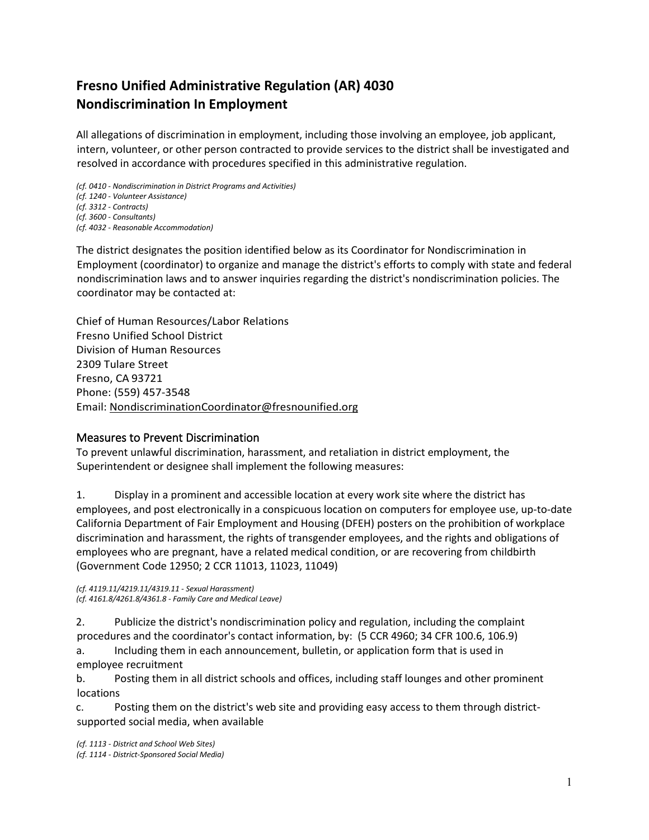# **Fresno Unified Administrative Regulation (AR) 4030 Nondiscrimination In Employment**

All allegations of discrimination in employment, including those involving an employee, job applicant, intern, volunteer, or other person contracted to provide services to the district shall be investigated and resolved in accordance with procedures specified in this administrative regulation.

*(cf. 0410 - Nondiscrimination in District Programs and Activities) (cf. 1240 - Volunteer Assistance) (cf. 3312 - Contracts) (cf. 3600 - Consultants) (cf. 4032 - Reasonable Accommodation)*

The district designates the position identified below as its Coordinator for Nondiscrimination in Employment (coordinator) to organize and manage the district's efforts to comply with state and federal nondiscrimination laws and to answer inquiries regarding the district's nondiscrimination policies. The coordinator may be contacted at:

Chief of Human Resources/Labor Relations Fresno Unified School District Division of Human Resources 2309 Tulare Street Fresno, CA 93721 Phone: (559) 457-3548 Email: [NondiscriminationCoordinator@fresnounified.org](mailto:NondiscriminationCoordinator@fresnounified.org)

### Measures to Prevent Discrimination

To prevent unlawful discrimination, harassment, and retaliation in district employment, the Superintendent or designee shall implement the following measures:

1. Display in a prominent and accessible location at every work site where the district has employees, and post electronically in a conspicuous location on computers for employee use, up-to-date California Department of Fair Employment and Housing (DFEH) posters on the prohibition of workplace discrimination and harassment, the rights of transgender employees, and the rights and obligations of employees who are pregnant, have a related medical condition, or are recovering from childbirth (Government Code 12950; 2 CCR 11013, 11023, 11049)

*(cf. 4119.11/4219.11/4319.11 - Sexual Harassment) (cf. 4161.8/4261.8/4361.8 - Family Care and Medical Leave)*

2. Publicize the district's nondiscrimination policy and regulation, including the complaint procedures and the coordinator's contact information, by: (5 CCR 4960; 34 CFR 100.6, 106.9)

a. Including them in each announcement, bulletin, or application form that is used in employee recruitment

b. Posting them in all district schools and offices, including staff lounges and other prominent locations

c. Posting them on the district's web site and providing easy access to them through districtsupported social media, when available

*(cf. 1113 - District and School Web Sites) (cf. 1114 - District-Sponsored Social Media)*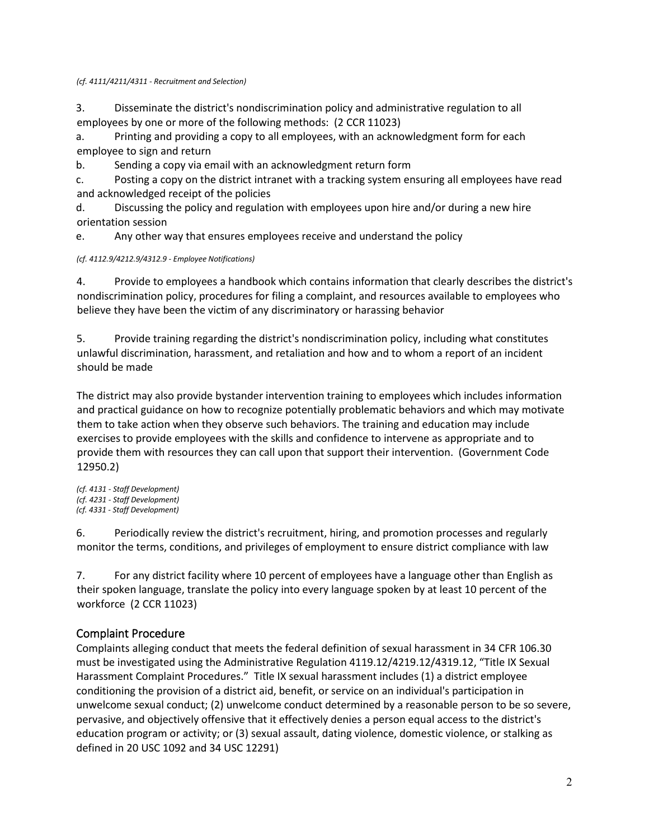*(cf. 4111/4211/4311 - Recruitment and Selection)*

3. Disseminate the district's nondiscrimination policy and administrative regulation to all employees by one or more of the following methods: (2 CCR 11023)

a. Printing and providing a copy to all employees, with an acknowledgment form for each employee to sign and return

b. Sending a copy via email with an acknowledgment return form

c. Posting a copy on the district intranet with a tracking system ensuring all employees have read and acknowledged receipt of the policies

d. Discussing the policy and regulation with employees upon hire and/or during a new hire orientation session

e. Any other way that ensures employees receive and understand the policy

*(cf. 4112.9/4212.9/4312.9 - Employee Notifications)*

4. Provide to employees a handbook which contains information that clearly describes the district's nondiscrimination policy, procedures for filing a complaint, and resources available to employees who believe they have been the victim of any discriminatory or harassing behavior

5. Provide training regarding the district's nondiscrimination policy, including what constitutes unlawful discrimination, harassment, and retaliation and how and to whom a report of an incident should be made

The district may also provide bystander intervention training to employees which includes information and practical guidance on how to recognize potentially problematic behaviors and which may motivate them to take action when they observe such behaviors. The training and education may include exercises to provide employees with the skills and confidence to intervene as appropriate and to provide them with resources they can call upon that support their intervention. (Government Code 12950.2)

*(cf. 4131 - Staff Development) (cf. 4231 - Staff Development) (cf. 4331 - Staff Development)*

6. Periodically review the district's recruitment, hiring, and promotion processes and regularly monitor the terms, conditions, and privileges of employment to ensure district compliance with law

7. For any district facility where 10 percent of employees have a language other than English as their spoken language, translate the policy into every language spoken by at least 10 percent of the workforce (2 CCR 11023)

## Complaint Procedure

Complaints alleging conduct that meets the federal definition of sexual harassment in 34 CFR 106.30 must be investigated using the Administrative Regulation 4119.12/4219.12/4319.12, "Title IX Sexual Harassment Complaint Procedures." Title IX sexual harassment includes (1) a district employee conditioning the provision of a district aid, benefit, or service on an individual's participation in unwelcome sexual conduct; (2) unwelcome conduct determined by a reasonable person to be so severe, pervasive, and objectively offensive that it effectively denies a person equal access to the district's education program or activity; or (3) sexual assault, dating violence, domestic violence, or stalking as defined in 20 USC 1092 and 34 USC 12291)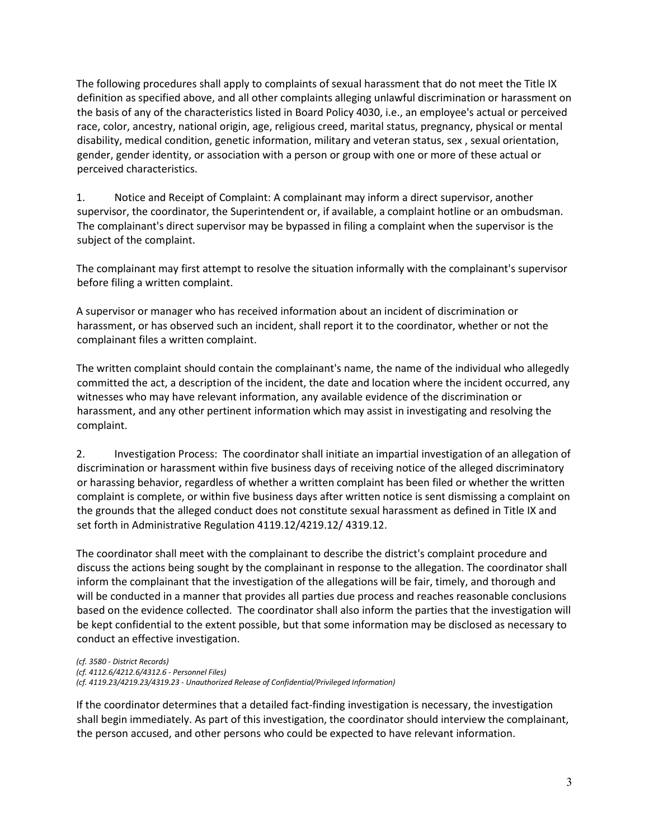The following procedures shall apply to complaints of sexual harassment that do not meet the Title IX definition as specified above, and all other complaints alleging unlawful discrimination or harassment on the basis of any of the characteristics listed in Board Policy 4030, i.e., an employee's actual or perceived race, color, ancestry, national origin, age, religious creed, marital status, pregnancy, physical or mental disability, medical condition, genetic information, military and veteran status, sex , sexual orientation, gender, gender identity, or association with a person or group with one or more of these actual or perceived characteristics.

1. Notice and Receipt of Complaint: A complainant may inform a direct supervisor, another supervisor, the coordinator, the Superintendent or, if available, a complaint hotline or an ombudsman. The complainant's direct supervisor may be bypassed in filing a complaint when the supervisor is the subject of the complaint.

The complainant may first attempt to resolve the situation informally with the complainant's supervisor before filing a written complaint.

A supervisor or manager who has received information about an incident of discrimination or harassment, or has observed such an incident, shall report it to the coordinator, whether or not the complainant files a written complaint.

The written complaint should contain the complainant's name, the name of the individual who allegedly committed the act, a description of the incident, the date and location where the incident occurred, any witnesses who may have relevant information, any available evidence of the discrimination or harassment, and any other pertinent information which may assist in investigating and resolving the complaint.

2. Investigation Process: The coordinator shall initiate an impartial investigation of an allegation of discrimination or harassment within five business days of receiving notice of the alleged discriminatory or harassing behavior, regardless of whether a written complaint has been filed or whether the written complaint is complete, or within five business days after written notice is sent dismissing a complaint on the grounds that the alleged conduct does not constitute sexual harassment as defined in Title IX and set forth in Administrative Regulation 4119.12/4219.12/ 4319.12.

The coordinator shall meet with the complainant to describe the district's complaint procedure and discuss the actions being sought by the complainant in response to the allegation. The coordinator shall inform the complainant that the investigation of the allegations will be fair, timely, and thorough and will be conducted in a manner that provides all parties due process and reaches reasonable conclusions based on the evidence collected. The coordinator shall also inform the parties that the investigation will be kept confidential to the extent possible, but that some information may be disclosed as necessary to conduct an effective investigation.

*(cf. 3580 - District Records) (cf. 4112.6/4212.6/4312.6 - Personnel Files) (cf. 4119.23/4219.23/4319.23 - Unauthorized Release of Confidential/Privileged Information)*

If the coordinator determines that a detailed fact-finding investigation is necessary, the investigation shall begin immediately. As part of this investigation, the coordinator should interview the complainant, the person accused, and other persons who could be expected to have relevant information.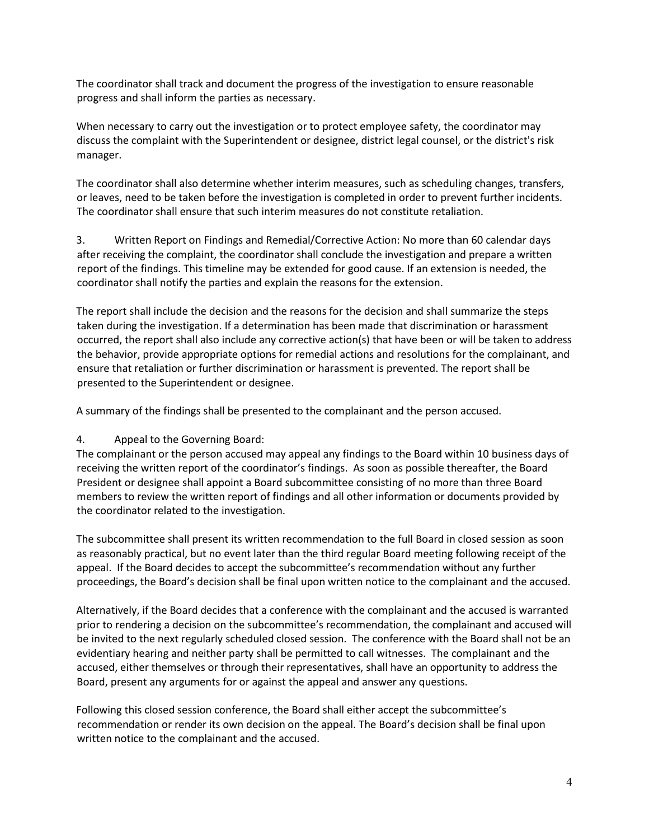The coordinator shall track and document the progress of the investigation to ensure reasonable progress and shall inform the parties as necessary.

When necessary to carry out the investigation or to protect employee safety, the coordinator may discuss the complaint with the Superintendent or designee, district legal counsel, or the district's risk manager.

The coordinator shall also determine whether interim measures, such as scheduling changes, transfers, or leaves, need to be taken before the investigation is completed in order to prevent further incidents. The coordinator shall ensure that such interim measures do not constitute retaliation.

3. Written Report on Findings and Remedial/Corrective Action: No more than 60 calendar days after receiving the complaint, the coordinator shall conclude the investigation and prepare a written report of the findings. This timeline may be extended for good cause. If an extension is needed, the coordinator shall notify the parties and explain the reasons for the extension.

The report shall include the decision and the reasons for the decision and shall summarize the steps taken during the investigation. If a determination has been made that discrimination or harassment occurred, the report shall also include any corrective action(s) that have been or will be taken to address the behavior, provide appropriate options for remedial actions and resolutions for the complainant, and ensure that retaliation or further discrimination or harassment is prevented. The report shall be presented to the Superintendent or designee.

A summary of the findings shall be presented to the complainant and the person accused.

### 4. Appeal to the Governing Board:

The complainant or the person accused may appeal any findings to the Board within 10 business days of receiving the written report of the coordinator's findings. As soon as possible thereafter, the Board President or designee shall appoint a Board subcommittee consisting of no more than three Board members to review the written report of findings and all other information or documents provided by the coordinator related to the investigation.

The subcommittee shall present its written recommendation to the full Board in closed session as soon as reasonably practical, but no event later than the third regular Board meeting following receipt of the appeal. If the Board decides to accept the subcommittee's recommendation without any further proceedings, the Board's decision shall be final upon written notice to the complainant and the accused.

Alternatively, if the Board decides that a conference with the complainant and the accused is warranted prior to rendering a decision on the subcommittee's recommendation, the complainant and accused will be invited to the next regularly scheduled closed session. The conference with the Board shall not be an evidentiary hearing and neither party shall be permitted to call witnesses. The complainant and the accused, either themselves or through their representatives, shall have an opportunity to address the Board, present any arguments for or against the appeal and answer any questions.

Following this closed session conference, the Board shall either accept the subcommittee's recommendation or render its own decision on the appeal. The Board's decision shall be final upon written notice to the complainant and the accused.